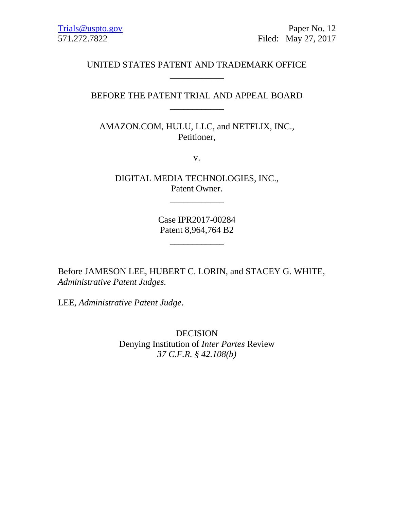# UNITED STATES PATENT AND TRADEMARK OFFICE \_\_\_\_\_\_\_\_\_\_\_\_

# BEFORE THE PATENT TRIAL AND APPEAL BOARD \_\_\_\_\_\_\_\_\_\_\_\_

AMAZON.COM, HULU, LLC, and NETFLIX, INC., Petitioner,

v.

DIGITAL MEDIA TECHNOLOGIES, INC., Patent Owner.

\_\_\_\_\_\_\_\_\_\_\_\_

Case IPR2017-00284 Patent 8,964,764 B2

\_\_\_\_\_\_\_\_\_\_\_\_

Before JAMESON LEE, HUBERT C. LORIN, and STACEY G. WHITE, *Administrative Patent Judges.*

LEE, *Administrative Patent Judge*.

DECISION Denying Institution of *Inter Partes* Review *37 C.F.R. § 42.108(b)*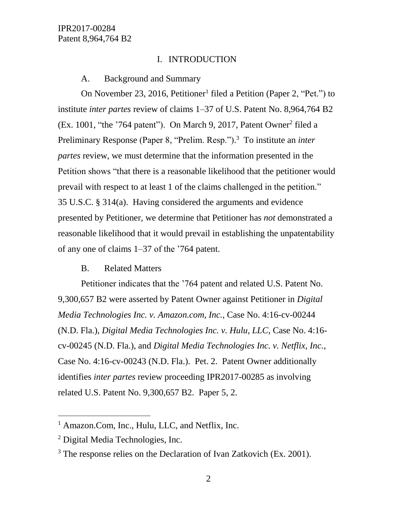# I. INTRODUCTION

#### A. Background and Summary

On November 23, 2016, Petitioner<sup>1</sup> filed a Petition (Paper 2, "Pet.") to institute *inter partes* review of claims 1–37 of U.S. Patent No. 8,964,764 B2 (Ex. 1001, "the '764 patent"). On March 9, 2017, Patent Owner<sup>2</sup> filed a Preliminary Response (Paper 8, "Prelim. Resp."). 3 To institute an *inter partes* review, we must determine that the information presented in the Petition shows "that there is a reasonable likelihood that the petitioner would prevail with respect to at least 1 of the claims challenged in the petition." 35 U.S.C. § 314(a). Having considered the arguments and evidence presented by Petitioner, we determine that Petitioner has *not* demonstrated a reasonable likelihood that it would prevail in establishing the unpatentability of any one of claims 1–37 of the '764 patent.

#### B. Related Matters

Petitioner indicates that the '764 patent and related U.S. Patent No. 9,300,657 B2 were asserted by Patent Owner against Petitioner in *Digital Media Technologies Inc. v. Amazon.com, Inc.*, Case No. 4:16-cv-00244 (N.D. Fla.), *Digital Media Technologies Inc. v. Hulu, LLC*, Case No. 4:16 cv-00245 (N.D. Fla.), and *Digital Media Technologies Inc. v. Netflix, Inc.*, Case No. 4:16-cv-00243 (N.D. Fla.). Pet. 2. Patent Owner additionally identifies *inter partes* review proceeding IPR2017-00285 as involving related U.S. Patent No. 9,300,657 B2. Paper 5, 2.

 $\overline{a}$ 

<sup>&</sup>lt;sup>1</sup> Amazon.Com, Inc., Hulu, LLC, and Netflix, Inc.

<sup>2</sup> Digital Media Technologies, Inc.

<sup>&</sup>lt;sup>3</sup> The response relies on the Declaration of Ivan Zatkovich (Ex. 2001).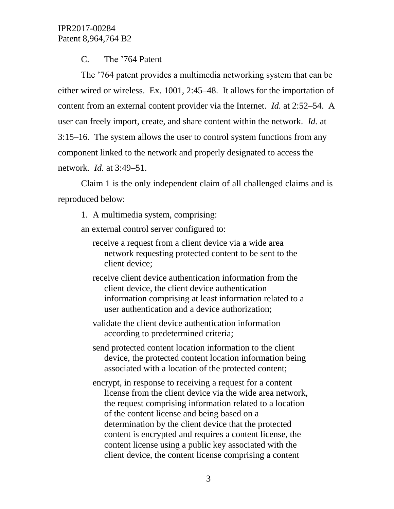C. The '764 Patent

The '764 patent provides a multimedia networking system that can be either wired or wireless. Ex. 1001, 2:45–48. It allows for the importation of content from an external content provider via the Internet. *Id.* at 2:52–54. A user can freely import, create, and share content within the network. *Id.* at 3:15–16. The system allows the user to control system functions from any component linked to the network and properly designated to access the network. *Id.* at 3:49–51.

Claim 1 is the only independent claim of all challenged claims and is reproduced below:

1. A multimedia system, comprising:

an external control server configured to:

- receive a request from a client device via a wide area network requesting protected content to be sent to the client device;
- receive client device authentication information from the client device, the client device authentication information comprising at least information related to a user authentication and a device authorization;
- validate the client device authentication information according to predetermined criteria;
- send protected content location information to the client device, the protected content location information being associated with a location of the protected content;
- encrypt, in response to receiving a request for a content license from the client device via the wide area network, the request comprising information related to a location of the content license and being based on a determination by the client device that the protected content is encrypted and requires a content license, the content license using a public key associated with the client device, the content license comprising a content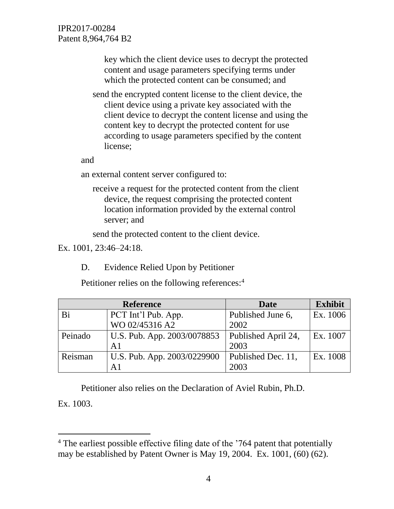> key which the client device uses to decrypt the protected content and usage parameters specifying terms under which the protected content can be consumed; and

send the encrypted content license to the client device, the client device using a private key associated with the client device to decrypt the content license and using the content key to decrypt the protected content for use according to usage parameters specified by the content license;

and

an external content server configured to:

receive a request for the protected content from the client device, the request comprising the protected content location information provided by the external control server; and

send the protected content to the client device.

Ex. 1001, 23:46–24:18.

 $\overline{a}$ 

D. Evidence Relied Upon by Petitioner

Petitioner relies on the following references:<sup>4</sup>

| <b>Reference</b> |                             | <b>Date</b>         | <b>Exhibit</b> |
|------------------|-----------------------------|---------------------|----------------|
| Bi               | PCT Int'l Pub. App.         | Published June 6,   | Ex. 1006       |
|                  | WO 02/45316 A2              | 2002                |                |
| Peinado          | U.S. Pub. App. 2003/0078853 | Published April 24, | Ex. 1007       |
|                  | A <sub>1</sub>              | 2003                |                |
| Reisman          | U.S. Pub. App. 2003/0229900 | Published Dec. 11,  | Ex. 1008       |
|                  | А1                          | 2003                |                |

Petitioner also relies on the Declaration of Aviel Rubin, Ph.D. Ex. 1003.

<sup>&</sup>lt;sup>4</sup> The earliest possible effective filing date of the '764 patent that potentially may be established by Patent Owner is May 19, 2004. Ex. 1001, (60) (62).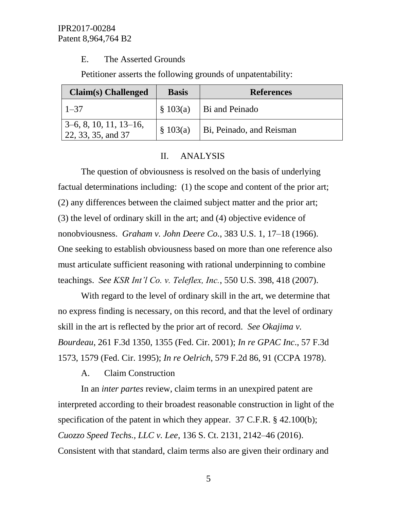# E. The Asserted Grounds

Petitioner asserts the following grounds of unpatentability:

| Claim(s) Challenged                            | <b>Basis</b> | <b>References</b>        |
|------------------------------------------------|--------------|--------------------------|
| $1 - 37$                                       | \$103(a)     | Bi and Peinado           |
| $3-6, 8, 10, 11, 13-16,$<br>22, 33, 35, and 37 | \$103(a)     | Bi, Peinado, and Reisman |

# II. ANALYSIS

The question of obviousness is resolved on the basis of underlying factual determinations including: (1) the scope and content of the prior art; (2) any differences between the claimed subject matter and the prior art; (3) the level of ordinary skill in the art; and (4) objective evidence of nonobviousness. *Graham v. John Deere Co.*, 383 U.S. 1, 17–18 (1966). One seeking to establish obviousness based on more than one reference also must articulate sufficient reasoning with rational underpinning to combine teachings. *See KSR Int'l Co. v. Teleflex, Inc.*, 550 U.S. 398, 418 (2007).

With regard to the level of ordinary skill in the art, we determine that no express finding is necessary, on this record, and that the level of ordinary skill in the art is reflected by the prior art of record. *See Okajima v. Bourdeau*, 261 F.3d 1350, 1355 (Fed. Cir. 2001); *In re GPAC Inc*., 57 F.3d 1573, 1579 (Fed. Cir. 1995); *In re Oelrich*, 579 F.2d 86, 91 (CCPA 1978).

# A. Claim Construction

In an *inter partes* review, claim terms in an unexpired patent are interpreted according to their broadest reasonable construction in light of the specification of the patent in which they appear. 37 C.F.R. § 42.100(b); *Cuozzo Speed Techs., LLC v. Lee*, 136 S. Ct. 2131, 2142–46 (2016). Consistent with that standard, claim terms also are given their ordinary and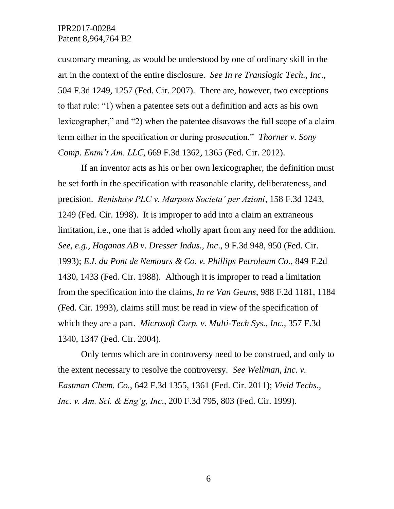customary meaning, as would be understood by one of ordinary skill in the art in the context of the entire disclosure. *See In re Translogic Tech., Inc*., 504 F.3d 1249, 1257 (Fed. Cir. 2007). There are, however, two exceptions to that rule: "1) when a patentee sets out a definition and acts as his own lexicographer," and "2) when the patentee disavows the full scope of a claim term either in the specification or during prosecution." *Thorner v. Sony Comp. Entm't Am. LLC*, 669 F.3d 1362, 1365 (Fed. Cir. 2012).

If an inventor acts as his or her own lexicographer, the definition must be set forth in the specification with reasonable clarity, deliberateness, and precision. *Renishaw PLC v. Marposs Societa' per Azioni*, 158 F.3d 1243, 1249 (Fed. Cir. 1998). It is improper to add into a claim an extraneous limitation, i.e., one that is added wholly apart from any need for the addition. *See, e.g.*, *Hoganas AB v. Dresser Indus., Inc*., 9 F.3d 948, 950 (Fed. Cir. 1993); *E.I. du Pont de Nemours & Co. v. Phillips Petroleum Co*., 849 F.2d 1430, 1433 (Fed. Cir. 1988). Although it is improper to read a limitation from the specification into the claims, *In re Van Geuns*, 988 F.2d 1181, 1184 (Fed. Cir. 1993), claims still must be read in view of the specification of which they are a part. *Microsoft Corp. v. Multi-Tech Sys., Inc.*, 357 F.3d 1340, 1347 (Fed. Cir. 2004).

Only terms which are in controversy need to be construed, and only to the extent necessary to resolve the controversy. *See Wellman, Inc. v. Eastman Chem. Co.*, 642 F.3d 1355, 1361 (Fed. Cir. 2011); *Vivid Techs., Inc. v. Am. Sci. & Eng'g, Inc*., 200 F.3d 795, 803 (Fed. Cir. 1999).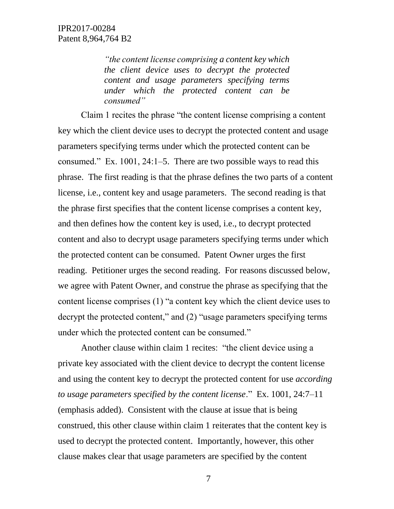*"the content license comprising a content key which the client device uses to decrypt the protected content and usage parameters specifying terms under which the protected content can be consumed"*

Claim 1 recites the phrase "the content license comprising a content key which the client device uses to decrypt the protected content and usage parameters specifying terms under which the protected content can be consumed." Ex. 1001, 24:1–5. There are two possible ways to read this phrase. The first reading is that the phrase defines the two parts of a content license, i.e., content key and usage parameters. The second reading is that the phrase first specifies that the content license comprises a content key, and then defines how the content key is used, i.e., to decrypt protected content and also to decrypt usage parameters specifying terms under which the protected content can be consumed. Patent Owner urges the first reading. Petitioner urges the second reading. For reasons discussed below, we agree with Patent Owner, and construe the phrase as specifying that the content license comprises (1) "a content key which the client device uses to decrypt the protected content," and (2) "usage parameters specifying terms under which the protected content can be consumed."

Another clause within claim 1 recites: "the client device using a private key associated with the client device to decrypt the content license and using the content key to decrypt the protected content for use *according to usage parameters specified by the content license*." Ex. 1001, 24:7–11 (emphasis added). Consistent with the clause at issue that is being construed, this other clause within claim 1 reiterates that the content key is used to decrypt the protected content. Importantly, however, this other clause makes clear that usage parameters are specified by the content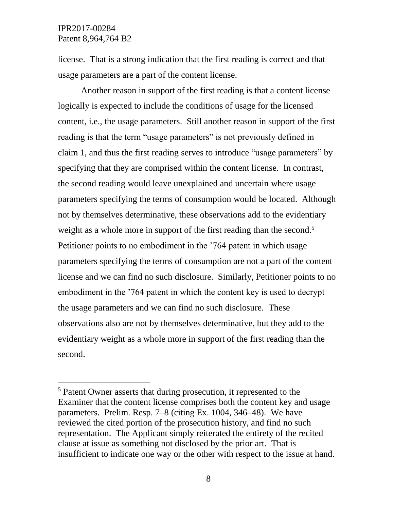l

license. That is a strong indication that the first reading is correct and that usage parameters are a part of the content license.

Another reason in support of the first reading is that a content license logically is expected to include the conditions of usage for the licensed content, i.e., the usage parameters. Still another reason in support of the first reading is that the term "usage parameters" is not previously defined in claim 1, and thus the first reading serves to introduce "usage parameters" by specifying that they are comprised within the content license. In contrast, the second reading would leave unexplained and uncertain where usage parameters specifying the terms of consumption would be located. Although not by themselves determinative, these observations add to the evidentiary weight as a whole more in support of the first reading than the second.<sup>5</sup> Petitioner points to no embodiment in the '764 patent in which usage parameters specifying the terms of consumption are not a part of the content license and we can find no such disclosure. Similarly, Petitioner points to no embodiment in the '764 patent in which the content key is used to decrypt the usage parameters and we can find no such disclosure. These observations also are not by themselves determinative, but they add to the evidentiary weight as a whole more in support of the first reading than the second.

<sup>5</sup> Patent Owner asserts that during prosecution, it represented to the Examiner that the content license comprises both the content key and usage parameters. Prelim. Resp. 7–8 (citing Ex. 1004, 346–48). We have reviewed the cited portion of the prosecution history, and find no such representation. The Applicant simply reiterated the entirety of the recited clause at issue as something not disclosed by the prior art. That is insufficient to indicate one way or the other with respect to the issue at hand.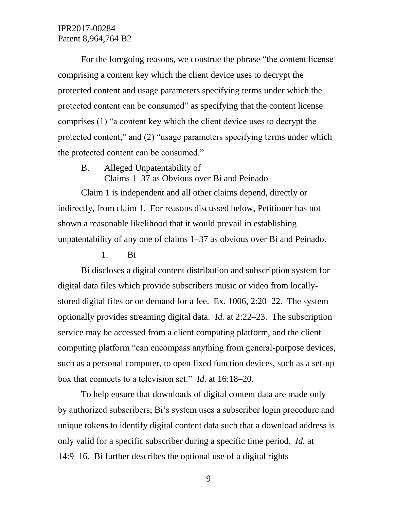For the foregoing reasons, we construe the phrase "the content license comprising a content key which the client device uses to decrypt the protected content and usage parameters specifying terms under which the protected content can be consumed" as specifying that the content license comprises (1) "a content key which the client device uses to decrypt the protected content," and (2) "usage parameters specifying terms under which the protected content can be consumed."

B. Alleged Unpatentability of

Claims 1–37 as Obvious over Bi and Peinado

Claim 1 is independent and all other claims depend, directly or indirectly, from claim 1. For reasons discussed below, Petitioner has not shown a reasonable likelihood that it would prevail in establishing unpatentability of any one of claims 1–37 as obvious over Bi and Peinado.

#### 1. Bi

Bi discloses a digital content distribution and subscription system for digital data files which provide subscribers music or video from locallystored digital files or on demand for a fee. Ex. 1006, 2:20–22. The system optionally provides streaming digital data. *Id.* at 2:22–23. The subscription service may be accessed from a client computing platform, and the client computing platform "can encompass anything from general-purpose devices, such as a personal computer, to open fixed function devices, such as a set-up box that connects to a television set." *Id.* at 16:18–20.

To help ensure that downloads of digital content data are made only by authorized subscribers, Bi's system uses a subscriber login procedure and unique tokens to identify digital content data such that a download address is only valid for a specific subscriber during a specific time period. *Id.* at 14:9–16. Bi further describes the optional use of a digital rights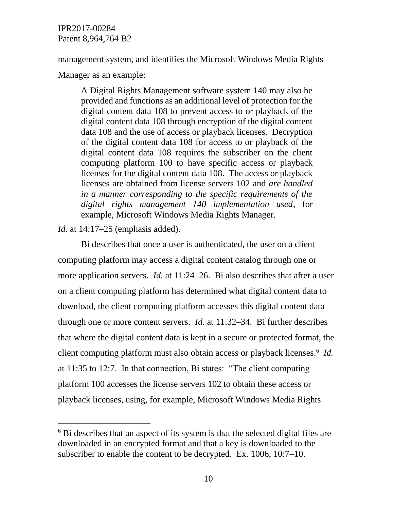management system, and identifies the Microsoft Windows Media Rights

Manager as an example:

A Digital Rights Management software system 140 may also be provided and functions as an additional level of protection for the digital content data 108 to prevent access to or playback of the digital content data 108 through encryption of the digital content data 108 and the use of access or playback licenses. Decryption of the digital content data 108 for access to or playback of the digital content data 108 requires the subscriber on the client computing platform 100 to have specific access or playback licenses for the digital content data 108. The access or playback licenses are obtained from license servers 102 and *are handled in a manner corresponding to the specific requirements of the digital rights management 140 implementation used*, for example, Microsoft Windows Media Rights Manager.

*Id.* at 14:17–25 (emphasis added).

 $\overline{a}$ 

Bi describes that once a user is authenticated, the user on a client computing platform may access a digital content catalog through one or more application servers. *Id.* at 11:24–26. Bi also describes that after a user on a client computing platform has determined what digital content data to download, the client computing platform accesses this digital content data through one or more content servers. *Id.* at 11:32–34. Bi further describes that where the digital content data is kept in a secure or protected format, the client computing platform must also obtain access or playback licenses.<sup>6</sup> *Id*. at 11:35 to 12:7. In that connection, Bi states: "The client computing platform 100 accesses the license servers 102 to obtain these access or playback licenses, using, for example, Microsoft Windows Media Rights

 $6$  Bi describes that an aspect of its system is that the selected digital files are downloaded in an encrypted format and that a key is downloaded to the subscriber to enable the content to be decrypted. Ex. 1006, 10:7–10.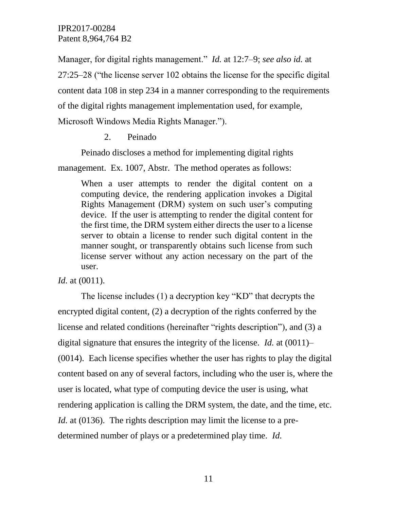Manager, for digital rights management." *Id.* at 12:7–9; *see also id.* at 27:25–28 ("the license server 102 obtains the license for the specific digital content data 108 in step 234 in a manner corresponding to the requirements of the digital rights management implementation used, for example, Microsoft Windows Media Rights Manager.").

2. Peinado

Peinado discloses a method for implementing digital rights

management. Ex. 1007, Abstr. The method operates as follows:

When a user attempts to render the digital content on a computing device, the rendering application invokes a Digital Rights Management (DRM) system on such user's computing device. If the user is attempting to render the digital content for the first time, the DRM system either directs the user to a license server to obtain a license to render such digital content in the manner sought, or transparently obtains such license from such license server without any action necessary on the part of the user.

*Id.* at (0011).

The license includes (1) a decryption key "KD" that decrypts the encrypted digital content, (2) a decryption of the rights conferred by the license and related conditions (hereinafter "rights description"), and (3) a digital signature that ensures the integrity of the license. *Id.* at (0011)– (0014). Each license specifies whether the user has rights to play the digital content based on any of several factors, including who the user is, where the user is located, what type of computing device the user is using, what rendering application is calling the DRM system, the date, and the time, etc. *Id.* at (0136). The rights description may limit the license to a predetermined number of plays or a predetermined play time. *Id.*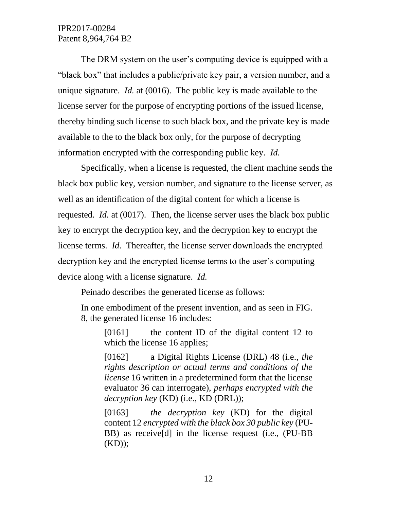The DRM system on the user's computing device is equipped with a "black box" that includes a public/private key pair, a version number, and a unique signature. *Id.* at (0016). The public key is made available to the license server for the purpose of encrypting portions of the issued license, thereby binding such license to such black box, and the private key is made available to the to the black box only, for the purpose of decrypting information encrypted with the corresponding public key. *Id.*

Specifically, when a license is requested, the client machine sends the black box public key, version number, and signature to the license server, as well as an identification of the digital content for which a license is requested. *Id.* at (0017). Then, the license server uses the black box public key to encrypt the decryption key, and the decryption key to encrypt the license terms. *Id.* Thereafter, the license server downloads the encrypted decryption key and the encrypted license terms to the user's computing device along with a license signature. *Id.*

Peinado describes the generated license as follows:

In one embodiment of the present invention, and as seen in FIG. 8, the generated license 16 includes:

[0161] the content ID of the digital content 12 to which the license 16 applies;

[0162] a Digital Rights License (DRL) 48 (i.e., *the rights description or actual terms and conditions of the license* 16 written in a predetermined form that the license evaluator 36 can interrogate), *perhaps encrypted with the decryption key* (KD) (i.e., KD (DRL));

[0163] *the decryption key* (KD) for the digital content 12 *encrypted with the black box 30 public key* (PU-BB) as receive[d] in the license request (i.e., (PU-BB  $(KD)$ ;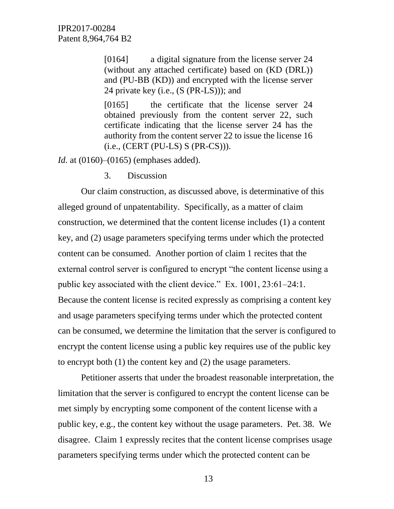[0164] a digital signature from the license server 24 (without any attached certificate) based on (KD (DRL)) and (PU-BB (KD)) and encrypted with the license server 24 private key (i.e., (S (PR-LS))); and

[0165] the certificate that the license server 24 obtained previously from the content server 22, such certificate indicating that the license server 24 has the authority from the content server 22 to issue the license 16 (i.e., (CERT (PU-LS) S (PR-CS))).

*Id.* at (0160)–(0165) (emphases added).

3. Discussion

Our claim construction, as discussed above, is determinative of this alleged ground of unpatentability. Specifically, as a matter of claim construction, we determined that the content license includes (1) a content key, and (2) usage parameters specifying terms under which the protected content can be consumed. Another portion of claim 1 recites that the external control server is configured to encrypt "the content license using a public key associated with the client device." Ex. 1001, 23:61–24:1. Because the content license is recited expressly as comprising a content key and usage parameters specifying terms under which the protected content can be consumed, we determine the limitation that the server is configured to encrypt the content license using a public key requires use of the public key to encrypt both (1) the content key and (2) the usage parameters.

Petitioner asserts that under the broadest reasonable interpretation, the limitation that the server is configured to encrypt the content license can be met simply by encrypting some component of the content license with a public key, e.g., the content key without the usage parameters. Pet. 38. We disagree. Claim 1 expressly recites that the content license comprises usage parameters specifying terms under which the protected content can be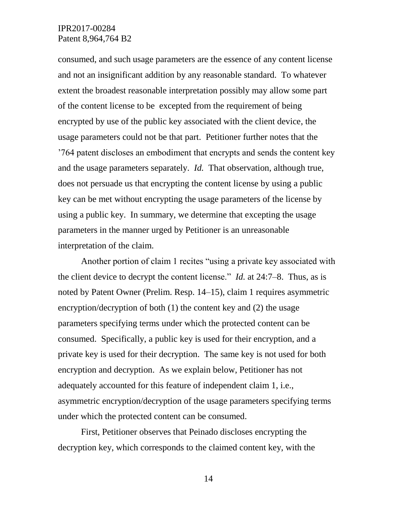consumed, and such usage parameters are the essence of any content license and not an insignificant addition by any reasonable standard. To whatever extent the broadest reasonable interpretation possibly may allow some part of the content license to be excepted from the requirement of being encrypted by use of the public key associated with the client device, the usage parameters could not be that part. Petitioner further notes that the '764 patent discloses an embodiment that encrypts and sends the content key and the usage parameters separately. *Id.* That observation, although true, does not persuade us that encrypting the content license by using a public key can be met without encrypting the usage parameters of the license by using a public key. In summary, we determine that excepting the usage parameters in the manner urged by Petitioner is an unreasonable interpretation of the claim.

Another portion of claim 1 recites "using a private key associated with the client device to decrypt the content license." *Id.* at 24:7–8. Thus, as is noted by Patent Owner (Prelim. Resp. 14–15), claim 1 requires asymmetric encryption/decryption of both (1) the content key and (2) the usage parameters specifying terms under which the protected content can be consumed. Specifically, a public key is used for their encryption, and a private key is used for their decryption. The same key is not used for both encryption and decryption. As we explain below, Petitioner has not adequately accounted for this feature of independent claim 1, i.e., asymmetric encryption/decryption of the usage parameters specifying terms under which the protected content can be consumed.

First, Petitioner observes that Peinado discloses encrypting the decryption key, which corresponds to the claimed content key, with the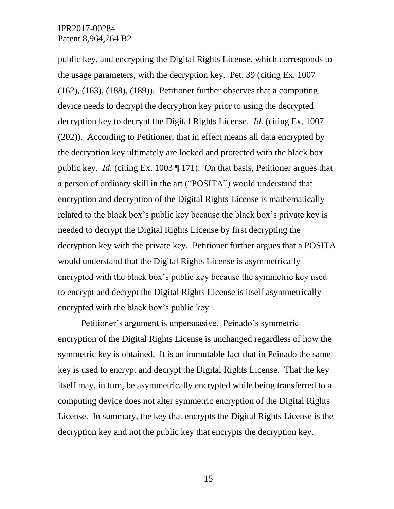public key, and encrypting the Digital Rights License, which corresponds to the usage parameters, with the decryption key. Pet. 39 (citing Ex. 1007  $(162)$ ,  $(163)$ ,  $(188)$ ,  $(189)$ ). Petitioner further observes that a computing device needs to decrypt the decryption key prior to using the decrypted decryption key to decrypt the Digital Rights License. *Id.* (citing Ex. 1007 (202)). According to Petitioner, that in effect means all data encrypted by the decryption key ultimately are locked and protected with the black box public key. *Id.* (citing Ex. 1003 ¶ 171). On that basis, Petitioner argues that a person of ordinary skill in the art ("POSITA") would understand that encryption and decryption of the Digital Rights License is mathematically related to the black box's public key because the black box's private key is needed to decrypt the Digital Rights License by first decrypting the decryption key with the private key. Petitioner further argues that a POSITA would understand that the Digital Rights License is asymmetrically encrypted with the black box's public key because the symmetric key used to encrypt and decrypt the Digital Rights License is itself asymmetrically encrypted with the black box's public key.

Petitioner's argument is unpersuasive. Peinado's symmetric encryption of the Digital Rights License is unchanged regardless of how the symmetric key is obtained. It is an immutable fact that in Peinado the same key is used to encrypt and decrypt the Digital Rights License. That the key itself may, in turn, be asymmetrically encrypted while being transferred to a computing device does not alter symmetric encryption of the Digital Rights License. In summary, the key that encrypts the Digital Rights License is the decryption key and not the public key that encrypts the decryption key.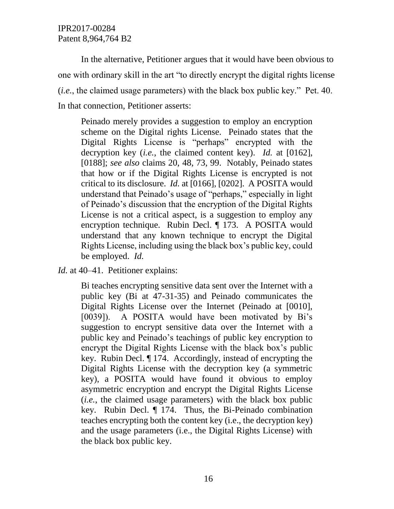In the alternative, Petitioner argues that it would have been obvious to one with ordinary skill in the art "to directly encrypt the digital rights license (*i.e.*, the claimed usage parameters) with the black box public key." Pet. 40. In that connection, Petitioner asserts:

Peinado merely provides a suggestion to employ an encryption scheme on the Digital rights License. Peinado states that the Digital Rights License is "perhaps" encrypted with the decryption key (*i.e.*, the claimed content key). *Id.* at [0162], [0188]; *see also* claims 20, 48, 73, 99. Notably, Peinado states that how or if the Digital Rights License is encrypted is not critical to its disclosure. *Id.* at [0166], [0202]. A POSITA would understand that Peinado's usage of "perhaps," especially in light of Peinado's discussion that the encryption of the Digital Rights License is not a critical aspect, is a suggestion to employ any encryption technique. Rubin Decl. ¶ 173. A POSITA would understand that any known technique to encrypt the Digital Rights License, including using the black box's public key, could be employed. *Id.*

*Id.* at 40–41. Petitioner explains:

Bi teaches encrypting sensitive data sent over the Internet with a public key (Bi at 47-31-35) and Peinado communicates the Digital Rights License over the Internet (Peinado at [0010], [0039]). A POSITA would have been motivated by Bi's suggestion to encrypt sensitive data over the Internet with a public key and Peinado's teachings of public key encryption to encrypt the Digital Rights License with the black box's public key. Rubin Decl. ¶ 174. Accordingly, instead of encrypting the Digital Rights License with the decryption key (a symmetric key), a POSITA would have found it obvious to employ asymmetric encryption and encrypt the Digital Rights License (*i.e.*, the claimed usage parameters) with the black box public key. Rubin Decl. ¶ 174. Thus, the Bi-Peinado combination teaches encrypting both the content key (i.e., the decryption key) and the usage parameters (i.e., the Digital Rights License) with the black box public key.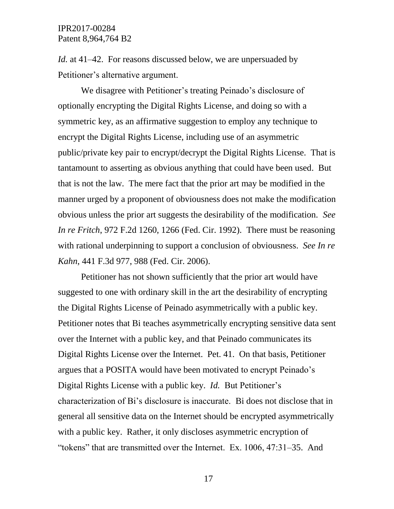*Id.* at 41–42. For reasons discussed below, we are unpersuaded by Petitioner's alternative argument.

We disagree with Petitioner's treating Peinado's disclosure of optionally encrypting the Digital Rights License, and doing so with a symmetric key, as an affirmative suggestion to employ any technique to encrypt the Digital Rights License, including use of an asymmetric public/private key pair to encrypt/decrypt the Digital Rights License. That is tantamount to asserting as obvious anything that could have been used. But that is not the law. The mere fact that the prior art may be modified in the manner urged by a proponent of obviousness does not make the modification obvious unless the prior art suggests the desirability of the modification. *See In re Fritch*, 972 F.2d 1260, 1266 (Fed. Cir. 1992). There must be reasoning with rational underpinning to support a conclusion of obviousness. *See In re Kahn*, 441 F.3d 977, 988 (Fed. Cir. 2006).

Petitioner has not shown sufficiently that the prior art would have suggested to one with ordinary skill in the art the desirability of encrypting the Digital Rights License of Peinado asymmetrically with a public key. Petitioner notes that Bi teaches asymmetrically encrypting sensitive data sent over the Internet with a public key, and that Peinado communicates its Digital Rights License over the Internet. Pet. 41. On that basis, Petitioner argues that a POSITA would have been motivated to encrypt Peinado's Digital Rights License with a public key. *Id.* But Petitioner's characterization of Bi's disclosure is inaccurate. Bi does not disclose that in general all sensitive data on the Internet should be encrypted asymmetrically with a public key. Rather, it only discloses asymmetric encryption of "tokens" that are transmitted over the Internet. Ex. 1006, 47:31–35. And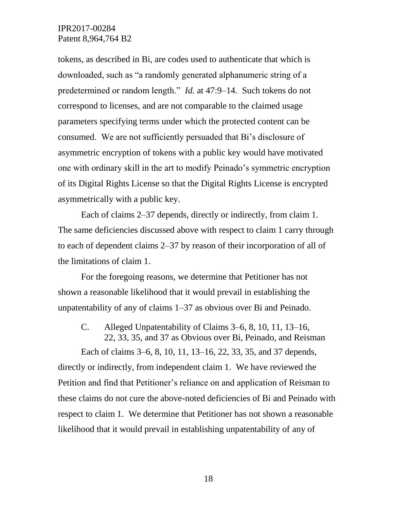tokens, as described in Bi, are codes used to authenticate that which is downloaded, such as "a randomly generated alphanumeric string of a predetermined or random length." *Id.* at 47:9–14. Such tokens do not correspond to licenses, and are not comparable to the claimed usage parameters specifying terms under which the protected content can be consumed. We are not sufficiently persuaded that Bi's disclosure of asymmetric encryption of tokens with a public key would have motivated one with ordinary skill in the art to modify Peinado's symmetric encryption of its Digital Rights License so that the Digital Rights License is encrypted asymmetrically with a public key.

Each of claims 2–37 depends, directly or indirectly, from claim 1. The same deficiencies discussed above with respect to claim 1 carry through to each of dependent claims 2–37 by reason of their incorporation of all of the limitations of claim 1.

For the foregoing reasons, we determine that Petitioner has not shown a reasonable likelihood that it would prevail in establishing the unpatentability of any of claims 1–37 as obvious over Bi and Peinado.

C. Alleged Unpatentability of Claims 3–6, 8, 10, 11, 13–16, 22, 33, 35, and 37 as Obvious over Bi, Peinado, and Reisman

Each of claims 3–6, 8, 10, 11, 13–16, 22, 33, 35, and 37 depends, directly or indirectly, from independent claim 1. We have reviewed the Petition and find that Petitioner's reliance on and application of Reisman to these claims do not cure the above-noted deficiencies of Bi and Peinado with respect to claim 1. We determine that Petitioner has not shown a reasonable likelihood that it would prevail in establishing unpatentability of any of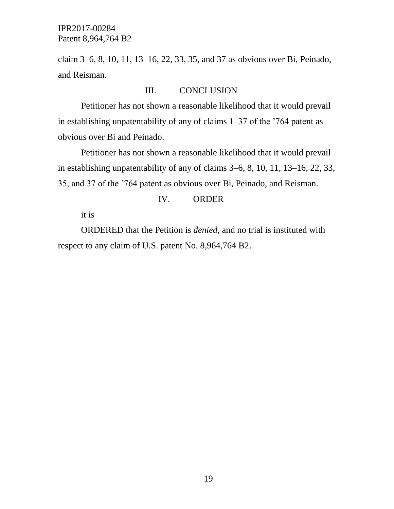claim 3–6, 8, 10, 11, 13–16, 22, 33, 35, and 37 as obvious over Bi, Peinado, and Reisman.

### III. CONCLUSION

Petitioner has not shown a reasonable likelihood that it would prevail in establishing unpatentability of any of claims 1–37 of the '764 patent as obvious over Bi and Peinado.

Petitioner has not shown a reasonable likelihood that it would prevail in establishing unpatentability of any of claims 3–6, 8, 10, 11, 13–16, 22, 33, 35, and 37 of the '764 patent as obvious over Bi, Peinado, and Reisman.

# IV. ORDER

it is

ORDERED that the Petition is *denied*, and no trial is instituted with respect to any claim of U.S. patent No. 8,964,764 B2.